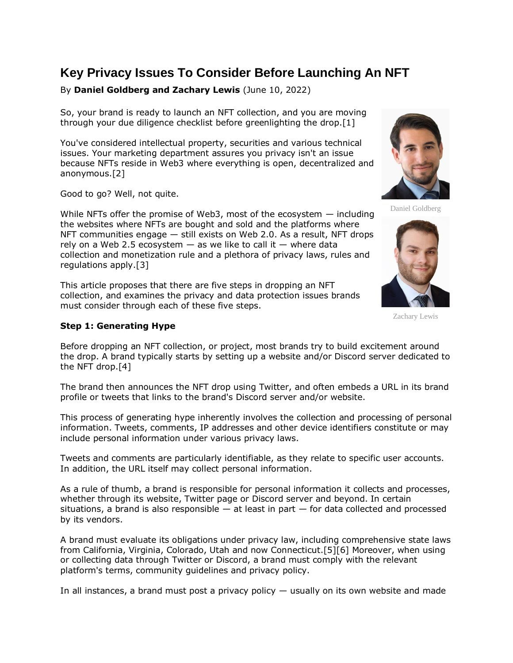# **Key Privacy Issues To Consider Before Launching An NFT**

# By **Daniel Goldberg and Zachary Lewis** (June 10, 2022)

So, your brand is ready to launch an NFT collection, and you are moving through your due diligence checklist before greenlighting the drop.[1]

You've considered intellectual property, securities and various technical issues. Your marketing department assures you privacy isn't an issue because NFTs reside in Web3 where everything is open, decentralized and anonymous.[2]

Good to go? Well, not quite.

While NFTs offer the promise of Web3, most of the ecosystem — including the websites where NFTs are bought and sold and the platforms where NFT communities engage — still exists on Web 2.0. As a result, NFT drops rely on a Web 2.5 ecosystem  $-$  as we like to call it  $-$  where data collection and monetization rule and a plethora of privacy laws, rules and regulations apply.[3]

This article proposes that there are five steps in dropping an NFT collection, and examines the privacy and data protection issues brands must consider through each of these five steps.

### **Step 1: Generating Hype**

Before dropping an NFT collection, or project, most brands try to build excitement around the drop. A brand typically starts by setting up a website and/or Discord server dedicated to the NFT drop.[4]

The brand then announces the NFT drop using [Twitter,](https://www.law360.com/companies/twitter-inc) and often embeds a URL in its brand profile or tweets that links to the brand's Discord server and/or website.

This process of generating hype inherently involves the collection and processing of personal information. Tweets, comments, IP addresses and other device identifiers constitute or may include personal information under various privacy laws.

Tweets and comments are particularly identifiable, as they relate to specific user accounts. In addition, the URL itself may collect personal information.

As a rule of thumb, a brand is responsible for personal information it collects and processes, whether through its website, Twitter page or Discord server and beyond. In certain situations, a brand is also responsible  $-$  at least in part  $-$  for data collected and processed by its vendors.

A brand must evaluate its obligations under privacy law, including comprehensive state laws from California, Virginia, Colorado, Utah and now Connecticut.[5][6] Moreover, when using or collecting data through Twitter or Discord, a brand must comply with the relevant platform's terms, community guidelines and privacy policy.

In all instances, a brand must post a privacy policy  $-$  usually on its own website and made

Daniel Goldberg



Zachary Lewis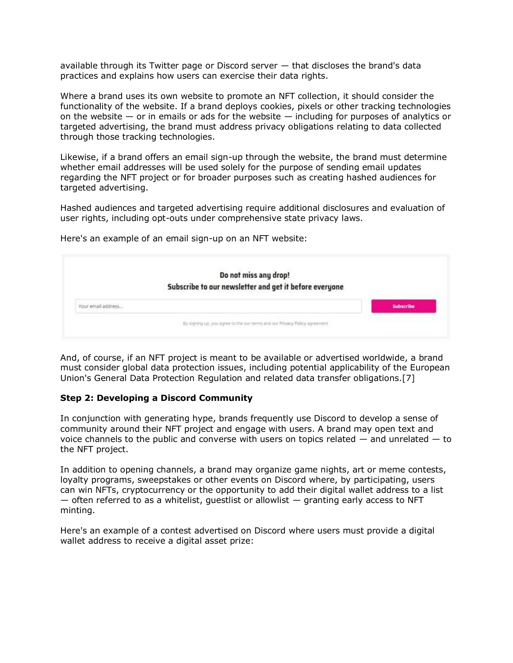available through its Twitter page or Discord server — that discloses the brand's data practices and explains how users can exercise their data rights.

Where a brand uses its own website to promote an NFT collection, it should consider the functionality of the website. If a brand deploys cookies, pixels or other tracking technologies on the website  $-$  or in emails or ads for the website  $-$  including for purposes of analytics or targeted advertising, the brand must address privacy obligations relating to data collected through those tracking technologies.

Likewise, if a brand offers an email sign-up through the website, the brand must determine whether email addresses will be used solely for the purpose of sending email updates regarding the NFT project or for broader purposes such as creating hashed audiences for targeted advertising.

Hashed audiences and targeted advertising require additional disclosures and evaluation of user rights, including opt-outs under comprehensive state privacy laws.

Here's an example of an email sign-up on an NFT website:

| Do not miss any drop!                                  |                                                                             |
|--------------------------------------------------------|-----------------------------------------------------------------------------|
| Subscribe to our newsletter and get it before everyone |                                                                             |
| Your email address                                     | Subscribe                                                                   |
|                                                        | By signing up, you agree to the our terms and our Privacy Policy agreement. |

And, of course, if an NFT project is meant to be available or advertised worldwide, a brand must consider global data protection issues, including potential applicability of the [European](https://www.law360.com/agencies/european-union-1)  [Union'](https://www.law360.com/agencies/european-union-1)s General Data Protection Regulation and related data transfer obligations.[7]

### **Step 2: Developing a Discord Community**

In conjunction with generating hype, brands frequently use Discord to develop a sense of community around their NFT project and engage with users. A brand may open text and voice channels to the public and converse with users on topics related  $-$  and unrelated  $-$  to the NFT project.

In addition to opening channels, a brand may organize game nights, art or meme contests, loyalty programs, sweepstakes or other events on Discord where, by participating, users can win NFTs, cryptocurrency or the opportunity to add their digital wallet address to a list  $-$  often referred to as a whitelist, guestlist or allowlist  $-$  granting early access to NFT minting.

Here's an example of a contest advertised on Discord where users must provide a digital wallet address to receive a digital asset prize: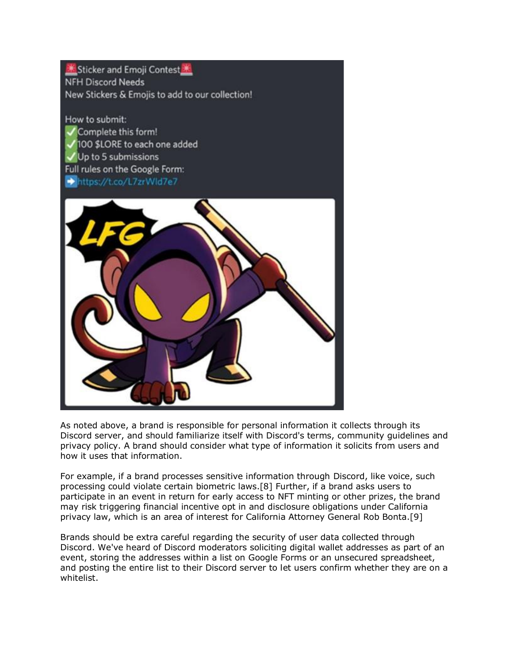Sticker and Emoji Contest **NFH Discord Needs** New Stickers & Emojis to add to our collection!

How to submit: Complete this form! 100 \$LORE to each one added Up to 5 submissions Full rules on the Google Form: https://t.co/L7zrWld7e7



As noted above, a brand is responsible for personal information it collects through its Discord server, and should familiarize itself with Discord's terms, community guidelines and privacy policy. A brand should consider what type of information it solicits from users and how it uses that information.

For example, if a brand processes sensitive information through Discord, like voice, such processing could violate certain biometric laws.[8] Further, if a brand asks users to participate in an event in return for early access to NFT minting or other prizes, the brand may risk triggering financial incentive opt in and disclosure obligations under California privacy law, which is an area of interest for California Attorney General Rob Bonta.[9]

Brands should be extra careful regarding the security of user data collected through Discord. We've heard of Discord moderators soliciting digital wallet addresses as part of an event, storing the addresses within a list on [Google Forms](https://www.law360.com/companies/google-llc) or an unsecured spreadsheet, and posting the entire list to their Discord server to let users confirm whether they are on a whitelist.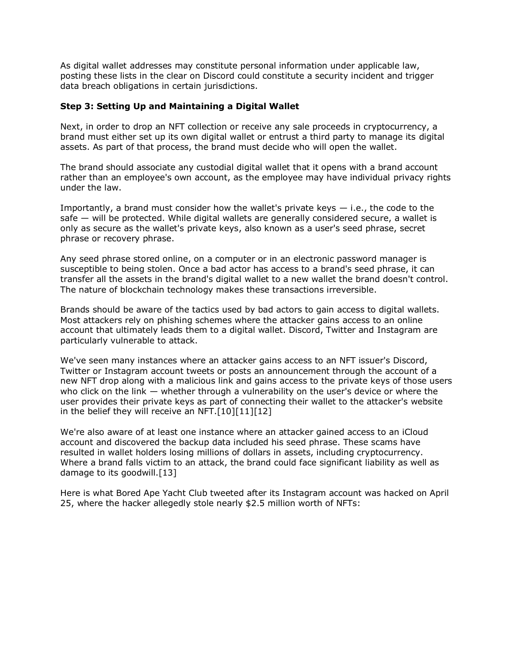As digital wallet addresses may constitute personal information under applicable law, posting these lists in the clear on Discord could constitute a security incident and trigger data breach obligations in certain jurisdictions.

## **Step 3: Setting Up and Maintaining a Digital Wallet**

Next, in order to drop an NFT collection or receive any sale proceeds in cryptocurrency, a brand must either set up its own digital wallet or entrust a third party to manage its digital assets. As part of that process, the brand must decide who will open the wallet.

The brand should associate any custodial digital wallet that it opens with a brand account rather than an employee's own account, as the employee may have individual privacy rights under the law.

Importantly, a brand must consider how the wallet's private keys  $-$  i.e., the code to the safe — will be protected. While digital wallets are generally considered secure, a wallet is only as secure as the wallet's private keys, also known as a user's seed phrase, secret phrase or recovery phrase.

Any seed phrase stored online, on a computer or in an electronic password manager is susceptible to being stolen. Once a bad actor has access to a brand's seed phrase, it can transfer all the assets in the brand's digital wallet to a new wallet the brand doesn't control. The nature of blockchain technology makes these transactions irreversible.

Brands should be aware of the tactics used by bad actors to gain access to digital wallets. Most attackers rely on phishing schemes where the attacker gains access to an online account that ultimately leads them to a digital wallet. Discord, Twitter and [Instagram](https://www.law360.com/companies/instagram-inc) are particularly vulnerable to attack.

We've seen many instances where an attacker gains access to an NFT issuer's Discord, Twitter or Instagram account tweets or posts an announcement through the account of a new NFT drop along with a malicious link and gains access to the private keys of those users who click on the link — whether through a vulnerability on the user's device or where the user provides their private keys as part of connecting their wallet to the attacker's website in the belief they will receive an NFT.[10][11][12]

We're also aware of at least one instance where an attacker gained access to an iCloud account and discovered the backup data included his seed phrase. These scams have resulted in wallet holders losing millions of dollars in assets, including cryptocurrency. Where a brand falls victim to an attack, the brand could face significant liability as well as damage to its goodwill.[13]

Here is what Bored Ape Yacht Club tweeted after its Instagram account was hacked on April 25, where the hacker allegedly stole nearly \$2.5 million worth of NFTs: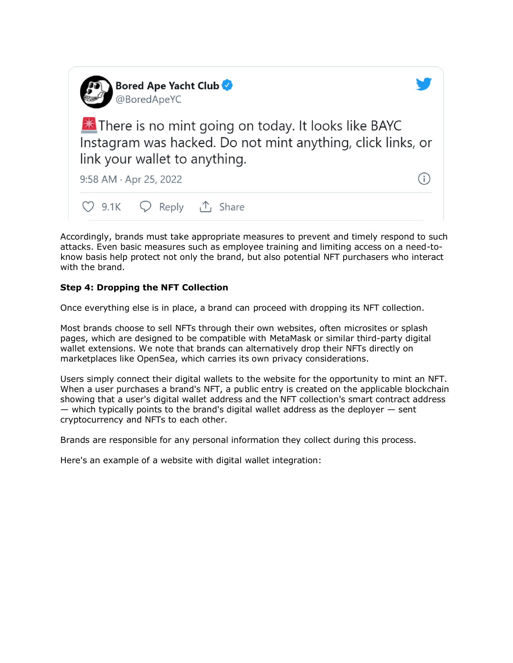

Accordingly, brands must take appropriate measures to prevent and timely respond to such attacks. Even basic measures such as employee training and limiting access on a need-toknow basis help protect not only the brand, but also potential NFT purchasers who interact with the brand.

# **Step 4: Dropping the NFT Collection**

Once everything else is in place, a brand can proceed with dropping its NFT collection.

Most brands choose to sell NFTs through their own websites, often microsites or splash pages, which are designed to be compatible with [MetaMask](https://www.law360.com/companies/metamask) or similar third-party digital wallet extensions. We note that brands can alternatively drop their NFTs directly on marketplaces like OpenSea, which carries its own privacy considerations.

Users simply connect their digital wallets to the website for the opportunity to mint an NFT. When a user purchases a brand's NFT, a public entry is created on the applicable blockchain showing that a user's digital wallet address and the NFT collection's smart contract address  $-$  which typically points to the brand's digital wallet address as the deployer  $-$  sent cryptocurrency and NFTs to each other.

Brands are responsible for any personal information they collect during this process.

Here's an example of a website with digital wallet integration: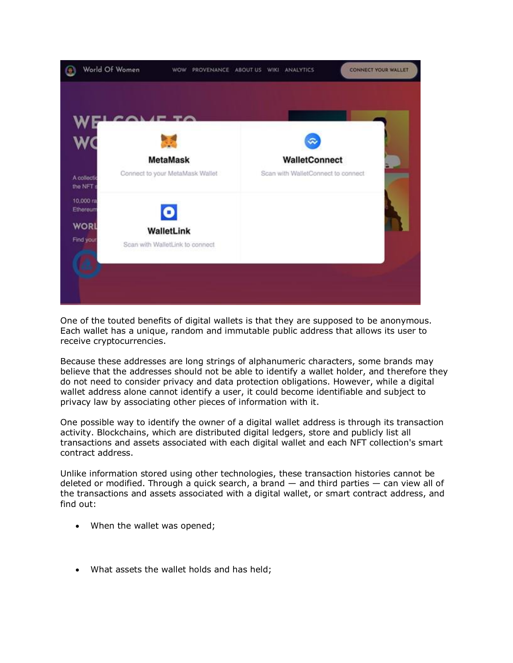

One of the touted benefits of digital wallets is that they are supposed to be anonymous. Each wallet has a unique, random and immutable public address that allows its user to receive cryptocurrencies.

Because these addresses are long strings of alphanumeric characters, some brands may believe that the addresses should not be able to identify a wallet holder, and therefore they do not need to consider privacy and data protection obligations. However, while a digital wallet address alone cannot identify a user, it could become identifiable and subject to privacy law by associating other pieces of information with it.

One possible way to identify the owner of a digital wallet address is through its transaction activity. Blockchains, which are distributed digital ledgers, store and publicly list all transactions and assets associated with each digital wallet and each NFT collection's smart contract address.

Unlike information stored using other technologies, these transaction histories cannot be deleted or modified. Through a quick search, a brand  $-$  and third parties  $-$  can view all of the transactions and assets associated with a digital wallet, or smart contract address, and find out:

- When the wallet was opened;
- What assets the wallet holds and has held;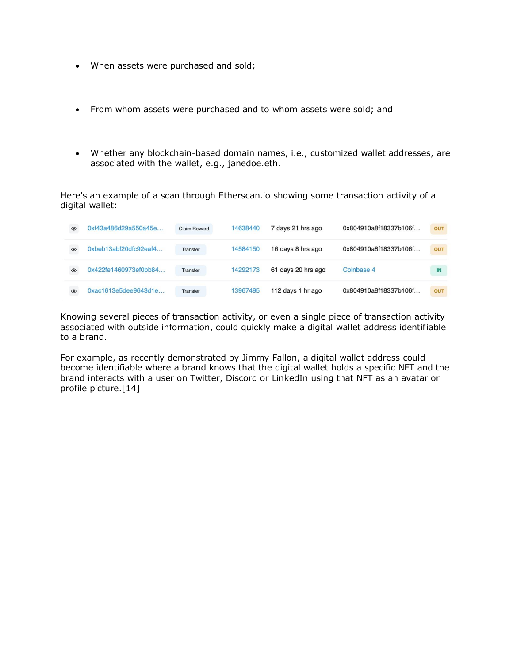- When assets were purchased and sold;
- From whom assets were purchased and to whom assets were sold; and
- Whether any blockchain-based domain names, i.e., customized wallet addresses, are associated with the wallet, e.g., janedoe.eth.

Here's an example of a scan through Etherscan.io showing some transaction activity of a digital wallet:

| $\circledcirc$ | 0xf43a486d29a550a45e  | <b>Claim Reward</b> | 14638440 | 7 days 21 hrs ago  | 0x804910a8f18337b106f | <b>OUT</b> |
|----------------|-----------------------|---------------------|----------|--------------------|-----------------------|------------|
| $\circledcirc$ | 0xbeb13abf20dfc92eaf4 | Transfer            | 14584150 | 16 days 8 hrs ago  | 0x804910a8f18337b106f | <b>OUT</b> |
| $\circledcirc$ | 0x422fe1460973ef0bb84 | Transfer            | 14292173 | 61 days 20 hrs ago | Coinbase 4            | IN         |
| $\circledcirc$ | 0xac1613e5dee9643d1e  | Transfer            | 13967495 | 112 days 1 hr ago  | 0x804910a8f18337b106f | OUT        |

Knowing several pieces of transaction activity, or even a single piece of transaction activity associated with outside information, could quickly make a digital wallet address identifiable to a brand.

For example, as recently demonstrated by Jimmy Fallon, a digital wallet address could become identifiable where a brand knows that the digital wallet holds a specific NFT and the brand interacts with a user on Twitter, Discord or [LinkedIn](https://www.law360.com/companies/linkedin-corp) using that NFT as an avatar or profile picture.[14]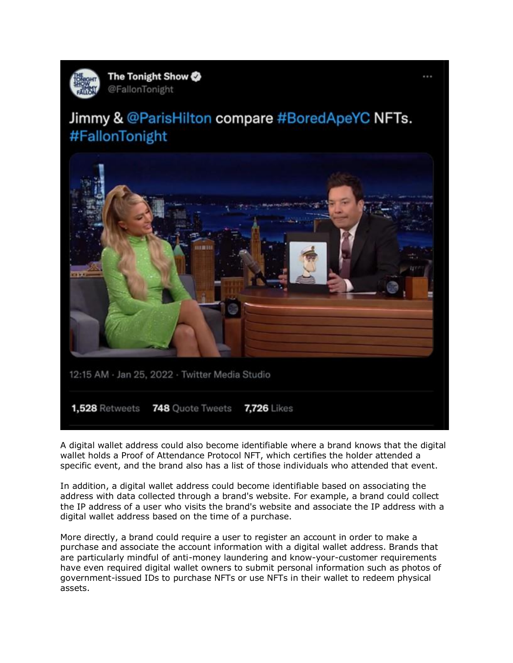

# Jimmy & @ParisHilton compare #BoredApeYC NFTs. #FallonTonight



A digital wallet address could also become identifiable where a brand knows that the digital wallet holds a Proof of Attendance Protocol NFT, which certifies the holder attended a specific event, and the brand also has a list of those individuals who attended that event.

In addition, a digital wallet address could become identifiable based on associating the address with data collected through a brand's website. For example, a brand could collect the IP address of a user who visits the brand's website and associate the IP address with a digital wallet address based on the time of a purchase.

More directly, a brand could require a user to register an account in order to make a purchase and associate the account information with a digital wallet address. Brands that are particularly mindful of anti-money laundering and know-your-customer requirements have even required digital wallet owners to submit personal information such as photos of government-issued IDs to purchase NFTs or use NFTs in their wallet to redeem physical assets.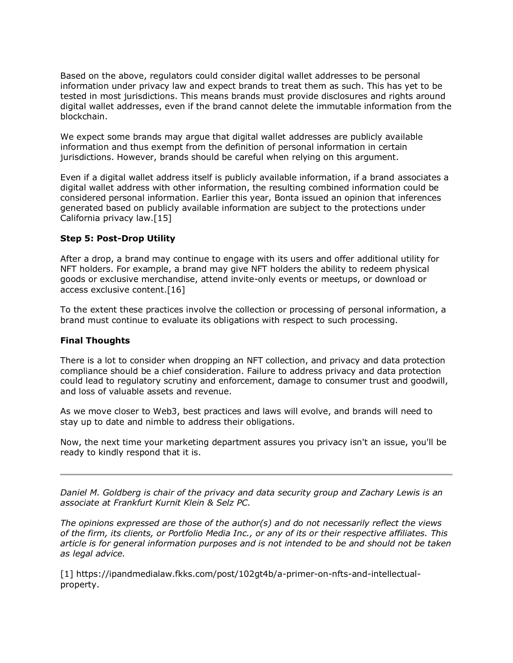Based on the above, regulators could consider digital wallet addresses to be personal information under privacy law and expect brands to treat them as such. This has yet to be tested in most jurisdictions. This means brands must provide disclosures and rights around digital wallet addresses, even if the brand cannot delete the immutable information from the blockchain.

We expect some brands may argue that digital wallet addresses are publicly available information and thus exempt from the definition of personal information in certain jurisdictions. However, brands should be careful when relying on this argument.

Even if a digital wallet address itself is publicly available information, if a brand associates a digital wallet address with other information, the resulting combined information could be considered personal information. Earlier this year, Bonta issued an opinion that inferences generated based on publicly available information are subject to the protections under California privacy law.[15]

### **Step 5: Post-Drop Utility**

After a drop, a brand may continue to engage with its users and offer additional utility for NFT holders. For example, a brand may give NFT holders the ability to redeem physical goods or exclusive merchandise, attend invite-only events or meetups, or download or access exclusive content.[16]

To the extent these practices involve the collection or processing of personal information, a brand must continue to evaluate its obligations with respect to such processing.

### **Final Thoughts**

There is a lot to consider when dropping an NFT collection, and privacy and data protection compliance should be a chief consideration. Failure to address privacy and data protection could lead to regulatory scrutiny and enforcement, damage to consumer trust and goodwill, and loss of valuable assets and revenue.

As we move closer to Web3, best practices and laws will evolve, and brands will need to stay up to date and nimble to address their obligations.

Now, the next time your marketing department assures you privacy isn't an issue, you'll be ready to kindly respond that it is.

*[Daniel M. Goldberg](https://fkks.com/attorneys/daniel-goldberg) is chair of the privacy and data security group and [Zachary Lewis](https://fkks.com/attorneys/zach-lewis) is an associate at [Frankfurt Kurnit Klein & Selz PC.](https://www.law360.com/firms/frankfurt-kurnit)*

*The opinions expressed are those of the author(s) and do not necessarily reflect the views of the firm, its clients, or Portfolio Media Inc., or any of its or their respective affiliates. This article is for general information purposes and is not intended to be and should not be taken as legal advice.*

[1] [https://ipandmedialaw.fkks.com/post/102gt4b/a-primer-on-nfts-and-intellectual](https://ipandmedialaw.fkks.com/post/102gt4b/a-primer-on-nfts-and-intellectual-property)[property.](https://ipandmedialaw.fkks.com/post/102gt4b/a-primer-on-nfts-and-intellectual-property)